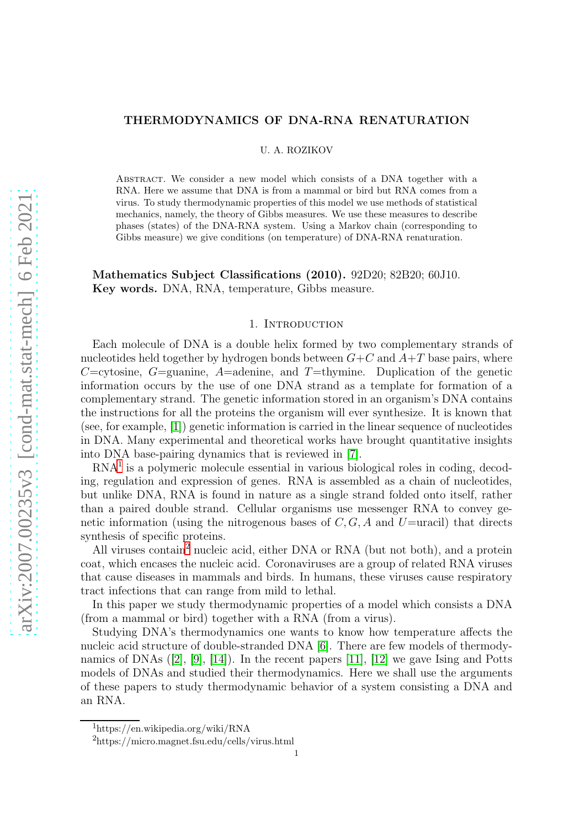# THERMODYNAMICS OF DNA-RNA RENATURATION

U. A. ROZIKOV

Abstract. We consider a new model which consists of a DNA together with a RNA. Here we assume that DNA is from a mammal or bird but RNA comes from a virus. To study thermodynamic properties of this model we use methods of statistical mechanics, namely, the theory of Gibbs measures. We use these measures to describe phases (states) of the DNA-RNA system. Using a Markov chain (corresponding to Gibbs measure) we give conditions (on temperature) of DNA-RNA renaturation.

Mathematics Subject Classifications (2010). 92D20; 82B20; 60J10. Key words. DNA, RNA, temperature, Gibbs measure.

#### 1. INTRODUCTION

Each molecule of DNA is a double helix formed by two complementary strands of nucleotides held together by hydrogen bonds between  $G+C$  and  $A+T$  base pairs, where C=cytosine, G=guanine, A=adenine, and T=thymine. Duplication of the genetic information occurs by the use of one DNA strand as a template for formation of a complementary strand. The genetic information stored in an organism's DNA contains the instructions for all the proteins the organism will ever synthesize. It is known that (see, for example, [\[1\]](#page-10-0)) genetic information is carried in the linear sequence of nucleotides in DNA. Many experimental and theoretical works have brought quantitative insights into DNA base-pairing dynamics that is reviewed in [\[7\]](#page-10-1).

RNA[1](#page-0-0) is a polymeric molecule essential in various biological roles in coding, decoding, regulation and expression of genes. RNA is assembled as a chain of nucleotides, but unlike DNA, RNA is found in nature as a single strand folded onto itself, rather than a paired double strand. Cellular organisms use messenger RNA to convey genetic information (using the nitrogenous bases of  $C, G, A$  and  $U=$ uracil) that directs synthesis of specific proteins.

All viruses contain<sup>[2](#page-0-1)</sup> nucleic acid, either DNA or RNA (but not both), and a protein coat, which encases the nucleic acid. Coronaviruses are a group of related RNA viruses that cause diseases in mammals and birds. In humans, these viruses cause respiratory tract infections that can range from mild to lethal.

In this paper we study thermodynamic properties of a model which consists a DNA (from a mammal or bird) together with a RNA (from a virus).

Studying DNA's thermodynamics one wants to know how temperature affects the nucleic acid structure of double-stranded DNA [\[6\]](#page-10-2). There are few models of thermodynamics of DNAs ([\[2\]](#page-10-3), [\[9\]](#page-10-4), [\[14\]](#page-10-5)). In the recent papers [\[11\]](#page-10-6), [\[12\]](#page-10-7) we gave Ising and Potts models of DNAs and studied their thermodynamics. Here we shall use the arguments of these papers to study thermodynamic behavior of a system consisting a DNA and an RNA.

<sup>1</sup>https://en.wikipedia.org/wiki/RNA

<span id="page-0-1"></span><span id="page-0-0"></span><sup>2</sup>https://micro.magnet.fsu.edu/cells/virus.html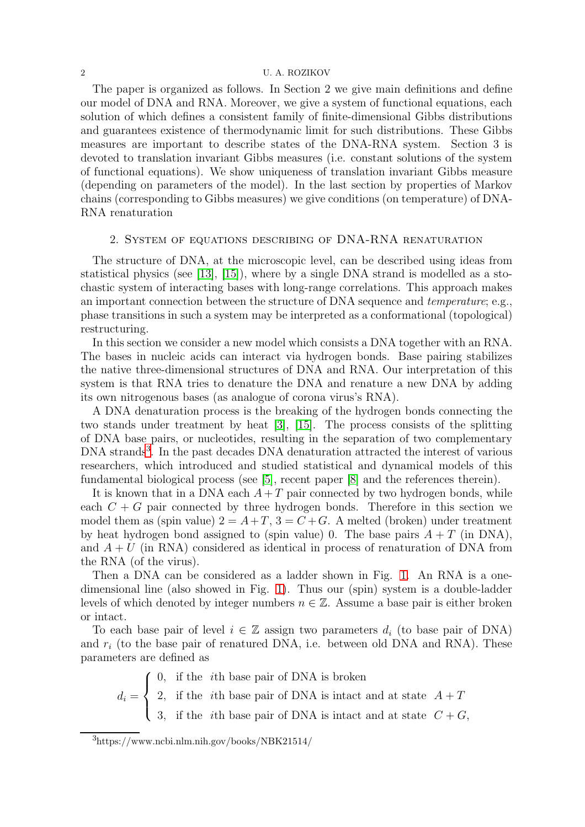#### 2 U. A. ROZIKOV

The paper is organized as follows. In Section 2 we give main definitions and define our model of DNA and RNA. Moreover, we give a system of functional equations, each solution of which defines a consistent family of finite-dimensional Gibbs distributions and guarantees existence of thermodynamic limit for such distributions. These Gibbs measures are important to describe states of the DNA-RNA system. Section 3 is devoted to translation invariant Gibbs measures (i.e. constant solutions of the system of functional equations). We show uniqueness of translation invariant Gibbs measure (depending on parameters of the model). In the last section by properties of Markov chains (corresponding to Gibbs measures) we give conditions (on temperature) of DNA-RNA renaturation

### 2. System of equations describing of DNA-RNA renaturation

The structure of DNA, at the microscopic level, can be described using ideas from statistical physics (see [\[13\]](#page-10-8), [\[15\]](#page-10-9)), where by a single DNA strand is modelled as a stochastic system of interacting bases with long-range correlations. This approach makes an important connection between the structure of DNA sequence and temperature; e.g., phase transitions in such a system may be interpreted as a conformational (topological) restructuring.

In this section we consider a new model which consists a DNA together with an RNA. The bases in nucleic acids can interact via hydrogen bonds. Base pairing stabilizes the native three-dimensional structures of DNA and RNA. Our interpretation of this system is that RNA tries to denature the DNA and renature a new DNA by adding its own nitrogenous bases (as analogue of corona virus's RNA).

A DNA denaturation process is the breaking of the hydrogen bonds connecting the two stands under treatment by heat [\[3\]](#page-10-10), [\[15\]](#page-10-9). The process consists of the splitting of DNA base pairs, or nucleotides, resulting in the separation of two complementary DNA strands<sup>[3](#page-1-0)</sup>. In the past decades DNA denaturation attracted the interest of various researchers, which introduced and studied statistical and dynamical models of this fundamental biological process (see [\[5\]](#page-10-11), recent paper [\[8\]](#page-10-12) and the references therein).

It is known that in a DNA each  $A + T$  pair connected by two hydrogen bonds, while each  $C + G$  pair connected by three hydrogen bonds. Therefore in this section we model them as (spin value)  $2 = A + T$ ,  $3 = C + G$ . A melted (broken) under treatment by heat hydrogen bond assigned to (spin value) 0. The base pairs  $A + T$  (in DNA), and  $A + U$  (in RNA) considered as identical in process of renaturation of DNA from the RNA (of the virus).

Then a DNA can be considered as a ladder shown in Fig. [1.](#page-2-0) An RNA is a onedimensional line (also showed in Fig. [1\)](#page-2-0). Thus our (spin) system is a double-ladder levels of which denoted by integer numbers  $n \in \mathbb{Z}$ . Assume a base pair is either broken or intact.

To each base pair of level  $i \in \mathbb{Z}$  assign two parameters  $d_i$  (to base pair of DNA) and  $r_i$  (to the base pair of renatured DNA, i.e. between old DNA and RNA). These parameters are defined as

$$
d_i = \begin{cases} 0, & \text{if the } i\text{th base pair of DNA is broken} \\ 2, & \text{if the } i\text{th base pair of DNA is intact and at state } A + T \\ 3, & \text{if the } i\text{th base pair of DNA is intact and at state } C + G, \end{cases}
$$

<span id="page-1-0"></span> $3$ https://www.ncbi.nlm.nih.gov/books/NBK21514/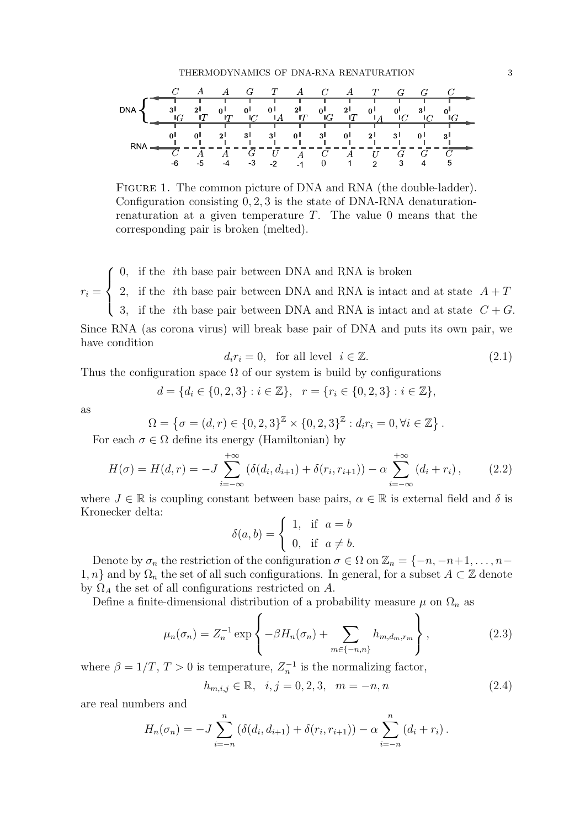<span id="page-2-0"></span>FIGURE 1. The common picture of DNA and RNA (the double-ladder). Configuration consisting 0, 2, 3 is the state of DNA-RNA denaturationrenaturation at a given temperature  $T$ . The value 0 means that the corresponding pair is broken (melted).

 $r_i =$  $\sqrt{ }$  $\int$  $\overline{\mathcal{L}}$ 0, if the ith base pair between DNA and RNA is broken 2, if the *i*th base pair between DNA and RNA is intact and at state  $A + T$ 3, if the *i*th base pair between DNA and RNA is intact and at state  $C + G$ . Since RNA (as corona virus) will break base pair of DNA and puts its own pair, we have condition

$$
d_i r_i = 0, \text{ for all level } i \in \mathbb{Z}.
$$
 (2.1)

Thus the configuration space  $\Omega$  of our system is build by configurations

$$
d = \{d_i \in \{0, 2, 3\} : i \in \mathbb{Z}\}, \quad r = \{r_i \in \{0, 2, 3\} : i \in \mathbb{Z}\},
$$

as

$$
\Omega = \{ \sigma = (d, r) \in \{0, 2, 3\}^{\mathbb{Z}} \times \{0, 2, 3\}^{\mathbb{Z}} : d_i r_i = 0, \forall i \in \mathbb{Z} \}.
$$
  
 
$$
\subseteq \Omega \text{ define its energy (Hamiltonian) by}
$$

For each  $\sigma \in \Omega$  define its energy (Hamiltonian) by

<span id="page-2-2"></span>
$$
H(\sigma) = H(d, r) = -J \sum_{i=-\infty}^{+\infty} (\delta(d_i, d_{i+1}) + \delta(r_i, r_{i+1})) - \alpha \sum_{i=-\infty}^{+\infty} (d_i + r_i), \qquad (2.2)
$$

where  $J \in \mathbb{R}$  is coupling constant between base pairs,  $\alpha \in \mathbb{R}$  is external field and  $\delta$  is Kronecker delta:

$$
\delta(a, b) = \begin{cases} 1, & \text{if } a = b \\ 0, & \text{if } a \neq b. \end{cases}
$$

Denote by  $\sigma_n$  the restriction of the configuration  $\sigma \in \Omega$  on  $\mathbb{Z}_n = \{-n, -n+1, \ldots, n-1\}$ 1, n} and by  $\Omega_n$  the set of all such configurations. In general, for a subset  $A \subset \mathbb{Z}$  denote by  $\Omega_A$  the set of all configurations restricted on A.

Define a finite-dimensional distribution of a probability measure  $\mu$  on  $\Omega_n$  as

<span id="page-2-1"></span>
$$
\mu_n(\sigma_n) = Z_n^{-1} \exp\left\{-\beta H_n(\sigma_n) + \sum_{m \in \{-n, n\}} h_{m,d_m,r_m} \right\},\tag{2.3}
$$

where  $\beta = 1/T$ ,  $T > 0$  is temperature,  $Z_n^{-1}$  is the normalizing factor,

<span id="page-2-3"></span>
$$
h_{m,i,j} \in \mathbb{R}, \quad i, j = 0, 2, 3, \quad m = -n, n \tag{2.4}
$$

are real numbers and

$$
H_n(\sigma_n) = -J \sum_{i=-n}^n (\delta(d_i, d_{i+1}) + \delta(r_i, r_{i+1})) - \alpha \sum_{i=-n}^n (d_i + r_i).
$$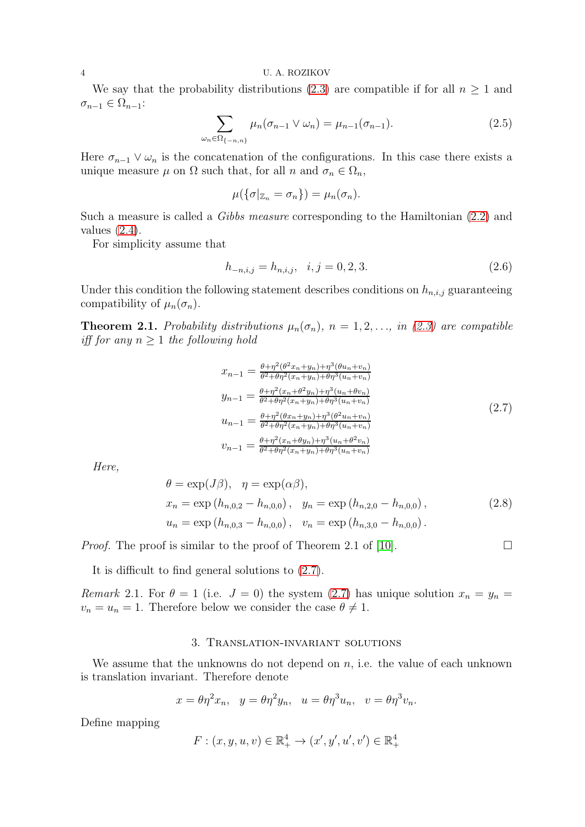We say that the probability distributions [\(2.3\)](#page-2-1) are compatible if for all  $n \geq 1$  and  $\sigma_{n-1} \in \Omega_{n-1}$ :

$$
\sum_{\omega_n \in \Omega_{\{-n,n\}}} \mu_n(\sigma_{n-1} \vee \omega_n) = \mu_{n-1}(\sigma_{n-1}). \tag{2.5}
$$

Here  $\sigma_{n-1} \vee \omega_n$  is the concatenation of the configurations. In this case there exists a unique measure  $\mu$  on  $\Omega$  such that, for all n and  $\sigma_n \in \Omega_n$ ,

$$
\mu(\{\sigma|_{\mathbb{Z}_n}=\sigma_n\})=\mu_n(\sigma_n).
$$

Such a measure is called a Gibbs measure corresponding to the Hamiltonian [\(2.2\)](#page-2-2) and values  $(2.4)$ .

For simplicity assume that

$$
h_{-n,i,j} = h_{n,i,j}, \quad i,j = 0,2,3. \tag{2.6}
$$

Under this condition the following statement describes conditions on  $h_{n,i,j}$  guaranteeing compatibility of  $\mu_n(\sigma_n)$ .

**Theorem 2.1.** Probability distributions  $\mu_n(\sigma_n)$ ,  $n = 1, 2, \ldots$ , in [\(2.3\)](#page-2-1) are compatible iff for any  $n \geq 1$  the following hold

<span id="page-3-0"></span>
$$
x_{n-1} = \frac{\theta + \eta^2(\theta^2 x_n + y_n) + \eta^3(\theta u_n + v_n)}{\theta^2 + \theta \eta^2(x_n + y_n) + \theta \eta^3(u_n + v_n)}
$$
  
\n
$$
y_{n-1} = \frac{\theta + \eta^2(x_n + \theta^2 y_n) + \eta^3(u_n + \theta v_n)}{\theta^2 + \theta \eta^2(x_n + y_n) + \theta \eta^3(u_n + v_n)}
$$
  
\n
$$
u_{n-1} = \frac{\theta + \eta^2(\theta x_n + y_n) + \eta^3(\theta^2 u_n + v_n)}{\theta^2 + \theta \eta^2(x_n + y_n) + \theta \eta^3(u_n + v_n)}
$$
  
\n
$$
v_{n-1} = \frac{\theta + \eta^2(x_n + \theta y_n) + \eta^3(u_n + \theta^2 v_n)}{\theta^2 + \theta \eta^2(x_n + y_n) + \theta \eta^3(u_n + v_n)}
$$
  
\n
$$
(2.7)
$$

Here,

<span id="page-3-1"></span>
$$
\theta = \exp(J\beta), \quad \eta = \exp(\alpha\beta),
$$
  
\n
$$
x_n = \exp(h_{n,0,2} - h_{n,0,0}), \quad y_n = \exp(h_{n,2,0} - h_{n,0,0}),
$$
  
\n
$$
u_n = \exp(h_{n,0,3} - h_{n,0,0}), \quad v_n = \exp(h_{n,3,0} - h_{n,0,0}).
$$
\n(2.8)

*Proof.* The proof is similar to the proof of Theorem 2.1 of [\[10\]](#page-10-13).

It is difficult to find general solutions to [\(2.7\)](#page-3-0).

Remark 2.1. For  $\theta = 1$  (i.e.  $J = 0$ ) the system [\(2.7\)](#page-3-0) has unique solution  $x_n = y_n =$  $v_n = u_n = 1$ . Therefore below we consider the case  $\theta \neq 1$ .

## 3. Translation-invariant solutions

We assume that the unknowns do not depend on  $n$ , i.e. the value of each unknown is translation invariant. Therefore denote

$$
x = \theta \eta^2 x_n, \quad y = \theta \eta^2 y_n, \quad u = \theta \eta^3 u_n, \quad v = \theta \eta^3 v_n.
$$

Define mapping

$$
F: (x, y, u, v) \in \mathbb{R}_+^4 \to (x', y', u', v') \in \mathbb{R}_+^4
$$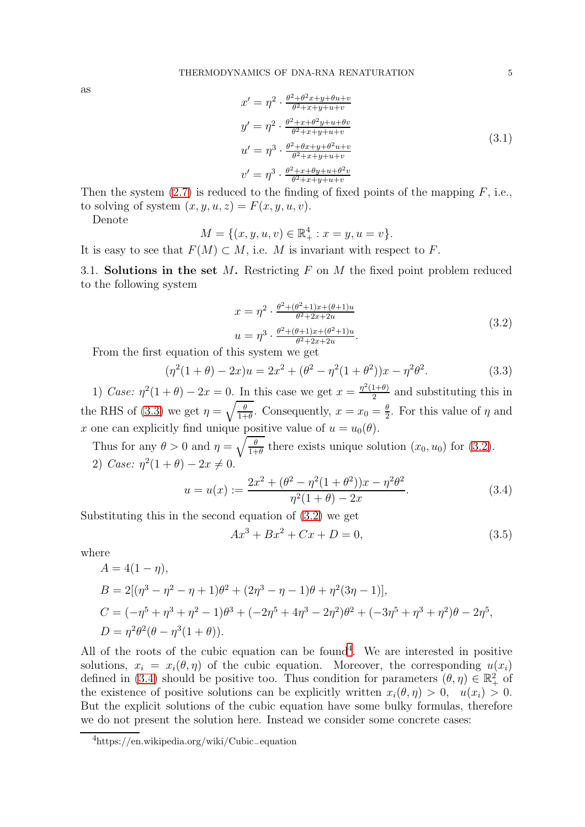as

$$
x' = \eta^2 \cdot \frac{\theta^2 + \theta^2 x + y + \theta u + v}{\theta^2 + x + y + u + v}
$$
  
\n
$$
y' = \eta^2 \cdot \frac{\theta^2 + x + \theta^2 y + u + \theta v}{\theta^2 + x + y + u + v}
$$
  
\n
$$
u' = \eta^3 \cdot \frac{\theta^2 + \theta x + y + \theta^2 u + v}{\theta^2 + x + y + u + v}
$$
  
\n
$$
v' = \eta^3 \cdot \frac{\theta^2 + x + \theta y + u + \theta^2 v}{\theta^2 + x + y + u + v}
$$
\n(3.1)

Then the system  $(2.7)$  is reduced to the finding of fixed points of the mapping  $F$ , i.e., to solving of system  $(x, y, u, z) = F(x, y, u, v)$ .

Denote

$$
M = \{(x, y, u, v) \in \mathbb{R}_+^4 : x = y, u = v\}.
$$

It is easy to see that  $F(M) \subset M$ , i.e. M is invariant with respect to F.

3.1. Solutions in the set  $M$ . Restricting  $F$  on  $M$  the fixed point problem reduced to the following system

<span id="page-4-1"></span>
$$
x = \eta^2 \cdot \frac{\theta^2 + (\theta^2 + 1)x + (\theta + 1)u}{\theta^2 + 2x + 2u}
$$
  

$$
u = \eta^3 \cdot \frac{\theta^2 + (\theta + 1)x + (\theta^2 + 1)u}{\theta^2 + 2x + 2u}.
$$
 (3.2)

From the first equation of this system we get

<span id="page-4-0"></span>
$$
(\eta^2(1+\theta) - 2x)u = 2x^2 + (\theta^2 - \eta^2(1+\theta^2))x - \eta^2\theta^2.
$$
 (3.3)

1) Case:  $\eta^2(1+\theta) - 2x = 0$ . In this case we get  $x = \frac{\eta^2(1+\theta)}{2}$  $\frac{1+\theta}{2}$  and substituting this in the RHS of [\(3.3\)](#page-4-0) we get  $\eta = \sqrt{\frac{\theta}{1+\theta}}$ . Consequently,  $x = x_0 = \frac{\theta}{2}$  $\frac{\theta}{2}$ . For this value of  $\eta$  and x one can explicitly find unique positive value of  $u = u_0(\theta)$ .

Thus for any  $\theta > 0$  and  $\eta = \sqrt{\frac{\theta}{1+\theta}}$  there exists unique solution  $(x_0, u_0)$  for  $(3.2)$ . 2) Case:  $\eta^2(1+\theta) - 2x \neq 0$ .

<span id="page-4-3"></span>
$$
u = u(x) := \frac{2x^2 + (\theta^2 - \eta^2(1 + \theta^2))x - \eta^2\theta^2}{\eta^2(1 + \theta) - 2x}.
$$
\n(3.4)

Substituting this in the second equation of [\(3.2\)](#page-4-1) we get

<span id="page-4-4"></span>
$$
Ax^3 + Bx^2 + Cx + D = 0,\t(3.5)
$$

where

$$
A = 4(1 - \eta),
$$
  
\n
$$
B = 2[(\eta^3 - \eta^2 - \eta + 1)\theta^2 + (2\eta^3 - \eta - 1)\theta + \eta^2(3\eta - 1)],
$$
  
\n
$$
C = (-\eta^5 + \eta^3 + \eta^2 - 1)\theta^3 + (-2\eta^5 + 4\eta^3 - 2\eta^2)\theta^2 + (-3\eta^5 + \eta^3 + \eta^2)\theta - 2\eta^5,
$$
  
\n
$$
D = \eta^2\theta^2(\theta - \eta^3(1 + \theta)).
$$

All of the roots of the cubic equation can be found<sup>[4](#page-4-2)</sup>. We are interested in positive solutions,  $x_i = x_i(\theta, \eta)$  of the cubic equation. Moreover, the corresponding  $u(x_i)$ defined in [\(3.4\)](#page-4-3) should be positive too. Thus condition for parameters  $(\theta, \eta) \in \mathbb{R}^2_+$  of the existence of positive solutions can be explicitly written  $x_i(\theta, \eta) > 0$ ,  $u(x_i) > 0$ . But the explicit solutions of the cubic equation have some bulky formulas, therefore we do not present the solution here. Instead we consider some concrete cases:

<span id="page-4-2"></span><sup>4</sup>https://en.wikipedia.org/wiki/Cubic−equation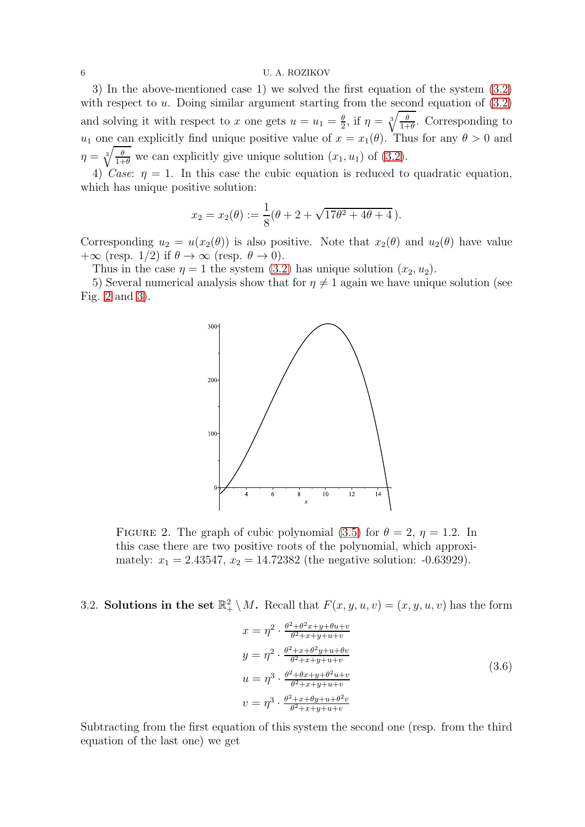6 U. A. ROZIKOV

3) In the above-mentioned case 1) we solved the first equation of the system [\(3.2\)](#page-4-1) with respect to  $u$ . Doing similar argument starting from the second equation of  $(3.2)$ and solving it with respect to x one gets  $u = u_1 = \frac{\theta}{2}$  $\frac{\theta}{2}$ , if  $\eta = \sqrt[3]{\frac{\theta}{1+\theta}}$ . Corresponding to  $u_1$  one can explicitly find unique positive value of  $x = x_1(\theta)$ . Thus for any  $\theta > 0$  and  $\eta = \sqrt[3]{\frac{\theta}{1+\theta}}$  we can explicitly give unique solution  $(x_1, u_1)$  of  $(3.2)$ .

4) Case:  $\eta = 1$ . In this case the cubic equation is reduced to quadratic equation, which has unique positive solution:

$$
x_2 = x_2(\theta) := \frac{1}{8}(\theta + 2 + \sqrt{17\theta^2 + 4\theta + 4}).
$$

Corresponding  $u_2 = u(x_2(\theta))$  is also positive. Note that  $x_2(\theta)$  and  $u_2(\theta)$  have value + $\infty$  (resp. 1/2) if  $\theta \to \infty$  (resp.  $\theta \to 0$ ).

Thus in the case  $\eta = 1$  the system [\(3.2\)](#page-4-1) has unique solution  $(x_2, u_2)$ .

5) Several numerical analysis show that for  $\eta \neq 1$  again we have unique solution (see Fig. [2](#page-5-0) and [3\)](#page-6-0).



<span id="page-5-0"></span>FIGURE 2. The graph of cubic polynomial [\(3.5\)](#page-4-4) for  $\theta = 2$ ,  $\eta = 1.2$ . In this case there are two positive roots of the polynomial, which approximately:  $x_1 = 2.43547$ ,  $x_2 = 14.72382$  (the negative solution: -0.63929).

3.2. Solutions in the set  $\mathbb{R}^2_+ \setminus M$ . Recall that  $F(x, y, u, v) = (x, y, u, v)$  has the form

<span id="page-5-1"></span>
$$
x = \eta^2 \cdot \frac{\theta^2 + \theta^2 x + y + \theta u + v}{\theta^2 + x + y + u + v}
$$
  
\n
$$
y = \eta^2 \cdot \frac{\theta^2 + x + \theta^2 y + u + \theta v}{\theta^2 + x + y + u + v}
$$
  
\n
$$
u = \eta^3 \cdot \frac{\theta^2 + \theta x + y + \theta^2 u + v}{\theta^2 + x + y + u + v}
$$
  
\n
$$
v = \eta^3 \cdot \frac{\theta^2 + x + \theta y + u + \theta^2 v}{\theta^2 + x + y + u + v}
$$
  
\n(3.6)

Subtracting from the first equation of this system the second one (resp. from the third equation of the last one) we get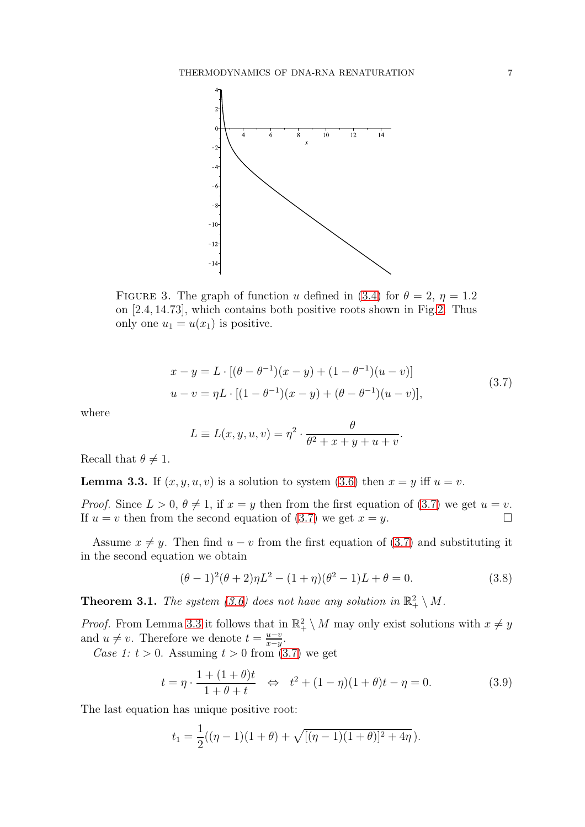

<span id="page-6-0"></span>FIGURE 3. The graph of function u defined in [\(3.4\)](#page-4-3) for  $\theta = 2$ ,  $\eta = 1.2$ on [2.4, 14.73], which contains both positive roots shown in Fig[.2.](#page-5-0) Thus only one  $u_1 = u(x_1)$  is positive.

<span id="page-6-1"></span>
$$
x - y = L \cdot [(\theta - \theta^{-1})(x - y) + (1 - \theta^{-1})(u - v)]
$$
  

$$
u - v = \eta L \cdot [(1 - \theta^{-1})(x - y) + (\theta - \theta^{-1})(u - v)],
$$
\n(3.7)

where

$$
L \equiv L(x, y, u, v) = \eta^2 \cdot \frac{\theta}{\theta^2 + x + y + u + v}.
$$

Recall that  $\theta \neq 1$ .

<span id="page-6-2"></span>**Lemma 3.3.** If  $(x, y, u, v)$  is a solution to system [\(3.6\)](#page-5-1) then  $x = y$  iff  $u = v$ .

*Proof.* Since  $L > 0$ ,  $\theta \neq 1$ , if  $x = y$  then from the first equation of [\(3.7\)](#page-6-1) we get  $u = v$ .<br>If  $u = v$  then from the second equation of (3.7) we get  $x = v$ . If  $u = v$  then from the second equation of [\(3.7\)](#page-6-1) we get  $x = y$ .

Assume  $x \neq y$ . Then find  $u - v$  from the first equation of [\(3.7\)](#page-6-1) and substituting it in the second equation we obtain

<span id="page-6-3"></span>
$$
(\theta - 1)^2 (\theta + 2)\eta L^2 - (1 + \eta)(\theta^2 - 1)L + \theta = 0.
$$
 (3.8)

**Theorem 3.1.** The system [\(3.6\)](#page-5-1) does not have any solution in  $\mathbb{R}^2_+ \setminus M$ .

*Proof.* From Lemma [3.3](#page-6-2) it follows that in  $\mathbb{R}^2_+ \setminus M$  may only exist solutions with  $x \neq y$ and  $u \neq v$ . Therefore we denote  $t = \frac{u-v}{x-y}$  $\frac{u-v}{x-y}$ .

Case 1:  $t > 0$ . Assuming  $t > 0$  from [\(3.7\)](#page-6-1) we get

<span id="page-6-4"></span>
$$
t = \eta \cdot \frac{1 + (1 + \theta)t}{1 + \theta + t} \iff t^2 + (1 - \eta)(1 + \theta)t - \eta = 0.
$$
 (3.9)

The last equation has unique positive root:

$$
t_1 = \frac{1}{2}((\eta - 1)(1 + \theta) + \sqrt{[(\eta - 1)(1 + \theta)]^2 + 4\eta}).
$$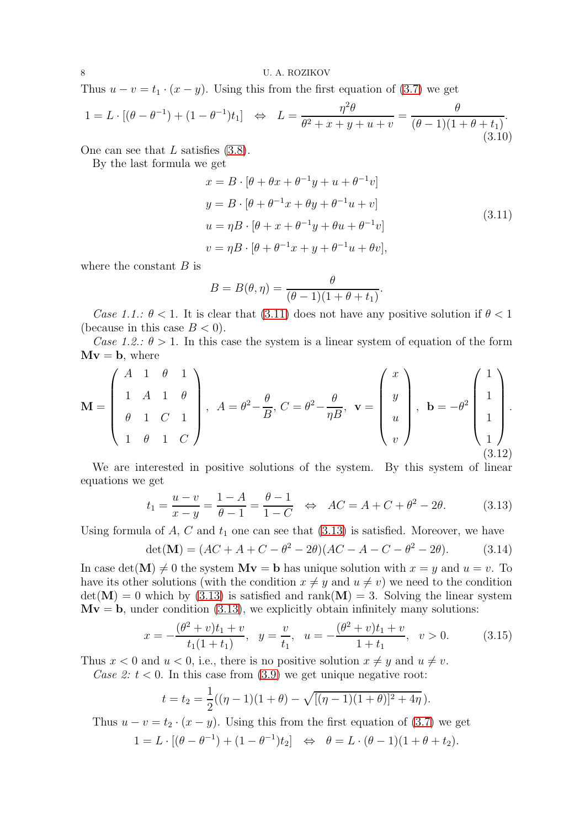Thus  $u - v = t_1 \cdot (x - y)$ . Using this from the first equation of [\(3.7\)](#page-6-1) we get

$$
1 = L \cdot [(\theta - \theta^{-1}) + (1 - \theta^{-1})t_1] \iff L = \frac{\eta^2 \theta}{\theta^2 + x + y + u + v} = \frac{\theta}{(\theta - 1)(1 + \theta + t_1)}.
$$
\n(3.10)

One can see that  $L$  satisfies  $(3.8)$ .

By the last formula we get

<span id="page-7-0"></span>
$$
x = B \cdot [\theta + \theta x + \theta^{-1} y + u + \theta^{-1} v]
$$
  
\n
$$
y = B \cdot [\theta + \theta^{-1} x + \theta y + \theta^{-1} u + v]
$$
  
\n
$$
u = \eta B \cdot [\theta + x + \theta^{-1} y + \theta u + \theta^{-1} v]
$$
  
\n
$$
v = \eta B \cdot [\theta + \theta^{-1} x + y + \theta^{-1} u + \theta v],
$$
\n(3.11)

.

where the constant  $B$  is

$$
B = B(\theta, \eta) = \frac{\theta}{(\theta - 1)(1 + \theta + t_1)}
$$

Case 1.1.:  $\theta$  < 1. It is clear that (3.[11\)](#page-7-0) does not have any positive solution if  $\theta$  < 1 (because in this case  $B < 0$ ).

Case 1.2.:  $\theta > 1$ . In this case the system is a linear system of equation of the form  $Mv = b$ , where

$$
\mathbf{M} = \begin{pmatrix} A & 1 & \theta & 1 \\ 1 & A & 1 & \theta \\ \theta & 1 & C & 1 \\ 1 & \theta & 1 & C \end{pmatrix}, \ A = \theta^2 - \frac{\theta}{B}, \ C = \theta^2 - \frac{\theta}{\eta B}, \ \mathbf{v} = \begin{pmatrix} x \\ y \\ u \\ u \end{pmatrix}, \ \mathbf{b} = -\theta^2 \begin{pmatrix} 1 \\ 1 \\ 1 \\ 1 \end{pmatrix}.
$$
\n
$$
(3.12)
$$

We are interested in positive solutions of the system. By this system of linear equations we get

<span id="page-7-1"></span>
$$
t_1 = \frac{u - v}{x - y} = \frac{1 - A}{\theta - 1} = \frac{\theta - 1}{1 - C} \iff AC = A + C + \theta^2 - 2\theta.
$$
 (3.13)

Using formula of  $A, C$  and  $t_1$  one can see that  $(3.13)$  is satisfied. Moreover, we have

$$
\det(\mathbf{M}) = (AC + A + C - \theta^2 - 2\theta)(AC - A - C - \theta^2 - 2\theta). \tag{3.14}
$$

In case det(M)  $\neq 0$  the system  $Mv = b$  has unique solution with  $x = y$  and  $u = v$ . To have its other solutions (with the condition  $x \neq y$  and  $u \neq v$ ) we need to the condition  $det(\mathbf{M}) = 0$  which by [\(3.13\)](#page-7-1) is satisfied and rank( $\mathbf{M}$ ) = 3. Solving the linear system  $Mv = b$ , under condition [\(3.13\)](#page-7-1), we explicitly obtain infinitely many solutions:

$$
x = -\frac{(\theta^2 + v)t_1 + v}{t_1(1 + t_1)}, \quad y = \frac{v}{t_1}, \quad u = -\frac{(\theta^2 + v)t_1 + v}{1 + t_1}, \quad v > 0.
$$
 (3.15)

Thus  $x < 0$  and  $u < 0$ , i.e., there is no positive solution  $x \neq y$  and  $u \neq v$ .

Case 2:  $t < 0$ . In this case from [\(3.9\)](#page-6-4) we get unique negative root:

$$
t = t_2 = \frac{1}{2}((\eta - 1)(1 + \theta) - \sqrt{[(\eta - 1)(1 + \theta)]^2 + 4\eta}).
$$

Thus  $u - v = t_2 \cdot (x - y)$ . Using this from the first equation of [\(3.7\)](#page-6-1) we get  $1 = L \cdot [(\theta - \theta^{-1}) + (1 - \theta^{-1})t_2] \iff \theta = L \cdot (\theta - 1)(1 + \theta + t_2).$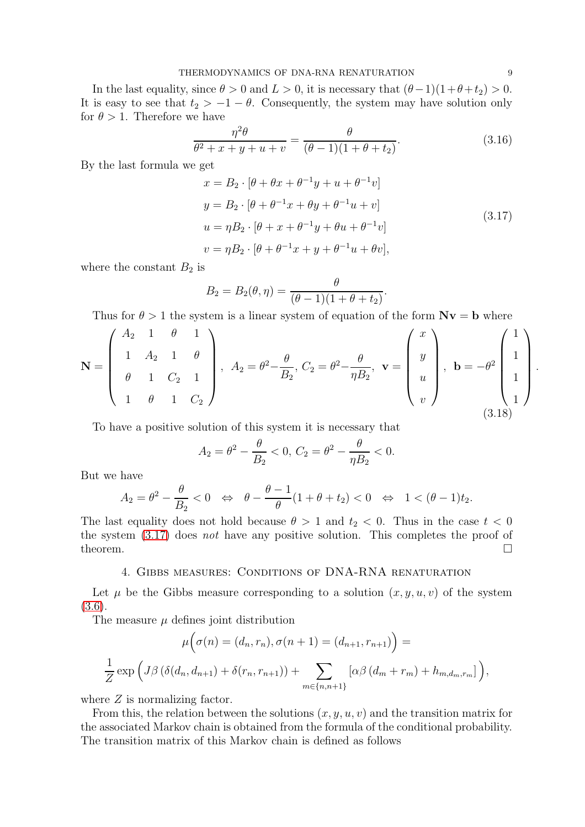### THERMODYNAMICS OF DNA-RNA RENATURATION 9

In the last equality, since  $\theta > 0$  and  $L > 0$ , it is necessary that  $(\theta - 1)(1 + \theta + t_2) > 0$ . It is easy to see that  $t_2 > -1 - \theta$ . Consequently, the system may have solution only for  $\theta > 1$ . Therefore we have

$$
\frac{\eta^2 \theta}{\theta^2 + x + y + u + v} = \frac{\theta}{(\theta - 1)(1 + \theta + t_2)}.
$$
\n(3.16)

By the last formula we get

<span id="page-8-0"></span>
$$
x = B_2 \cdot [\theta + \theta x + \theta^{-1} y + u + \theta^{-1} v]
$$
  
\n
$$
y = B_2 \cdot [\theta + \theta^{-1} x + \theta y + \theta^{-1} u + v]
$$
  
\n
$$
u = \eta B_2 \cdot [\theta + x + \theta^{-1} y + \theta u + \theta^{-1} v]
$$
  
\n
$$
v = \eta B_2 \cdot [\theta + \theta^{-1} x + y + \theta^{-1} u + \theta v],
$$
\n(3.17)

where the constant  $B_2$  is

$$
B_2 = B_2(\theta, \eta) = \frac{\theta}{(\theta - 1)(1 + \theta + t_2)}.
$$

Thus for  $\theta > 1$  the system is a linear system of equation of the form  $Nv = b$  where

$$
\mathbf{N} = \begin{pmatrix} A_2 & 1 & \theta & 1 \\ 1 & A_2 & 1 & \theta \\ \theta & 1 & C_2 & 1 \\ 1 & \theta & 1 & C_2 \end{pmatrix}, A_2 = \theta^2 - \frac{\theta}{B_2}, C_2 = \theta^2 - \frac{\theta}{\eta B_2}, \mathbf{v} = \begin{pmatrix} x \\ y \\ u \\ v \end{pmatrix}, \mathbf{b} = -\theta^2 \begin{pmatrix} 1 \\ 1 \\ 1 \\ 1 \end{pmatrix}
$$
(3.18)

To have a positive solution of this system it is necessary that

$$
A_2 = \theta^2 - \frac{\theta}{B_2} < 0, \ C_2 = \theta^2 - \frac{\theta}{\eta B_2} < 0.
$$

But we have

$$
A_2 = \theta^2 - \frac{\theta}{B_2} < 0 \quad \Leftrightarrow \quad \theta - \frac{\theta - 1}{\theta} (1 + \theta + t_2) < 0 \quad \Leftrightarrow \quad 1 < (\theta - 1)t_2.
$$

The last equality does not hold because  $\theta > 1$  and  $t_2 < 0$ . Thus in the case  $t < 0$ the system [\(3.17\)](#page-8-0) does not have any positive solution. This completes the proof of theorem.  $\Box$ 

## 4. Gibbs measures: Conditions of DNA-RNA renaturation

Let  $\mu$  be the Gibbs measure corresponding to a solution  $(x, y, u, v)$  of the system [\(3.6\)](#page-5-1).

The measure  $\mu$  defines joint distribution

$$
\mu\Big(\sigma(n) = (d_n, r_n), \sigma(n+1) = (d_{n+1}, r_{n+1})\Big) =
$$
  

$$
\frac{1}{Z} \exp\Big(J\beta\big(\delta(d_n, d_{n+1}) + \delta(r_n, r_{n+1})\big) + \sum_{m \in \{n, n+1\}} [\alpha\beta(d_m + r_m) + h_{m, d_m, r_m}]\Big),
$$

where  $Z$  is normalizing factor.

From this, the relation between the solutions  $(x, y, u, v)$  and the transition matrix for the associated Markov chain is obtained from the formula of the conditional probability. The transition matrix of this Markov chain is defined as follows

.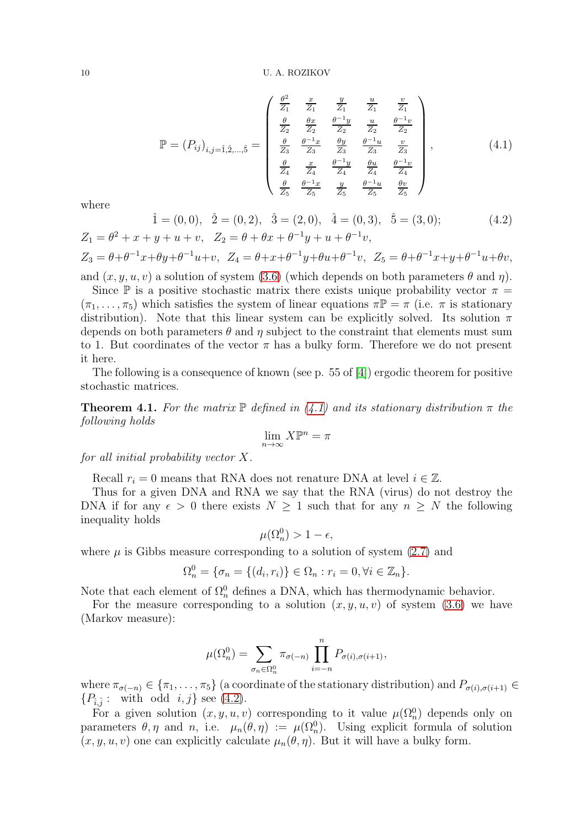<span id="page-9-0"></span>
$$
\mathbb{P} = (P_{ij})_{i,j=1,\hat{2},\dots,\hat{5}} = \begin{pmatrix} \frac{\theta^2}{Z_1} & \frac{x}{Z_1} & \frac{y}{Z_1} & \frac{u}{Z_1} & \frac{v}{Z_1} \\ \frac{\theta}{Z_2} & \frac{\theta x}{Z_2} & \frac{\theta^{-1}y}{Z_2} & \frac{u}{Z_2} & \frac{\theta^{-1}v}{Z_2} \\ \frac{\theta}{Z_3} & \frac{\theta^{-1}x}{Z_3} & \frac{\theta y}{Z_3} & \frac{\theta^{-1}u}{Z_3} & \frac{v}{Z_3} \\ \frac{\theta}{Z_4} & \frac{x}{Z_4} & \frac{\theta^{-1}y}{Z_4} & \frac{\theta u}{Z_4} & \frac{\theta^{-1}v}{Z_4} \\ \frac{\theta}{Z_5} & \frac{\theta^{-1}x}{Z_5} & \frac{y}{Z_5} & \frac{\theta^{-1}u}{Z_5} & \frac{\theta v}{Z_5} \end{pmatrix},
$$
\n(4.1)

where

<span id="page-9-1"></span>
$$
\hat{1} = (0,0), \quad \hat{2} = (0,2), \quad \hat{3} = (2,0), \quad \hat{4} = (0,3), \quad \hat{5} = (3,0);
$$
\n
$$
Z_1 = \theta^2 + x + y + u + v, \quad Z_2 = \theta + \theta x + \theta^{-1} y + u + \theta^{-1} v,
$$
\n
$$
(4.2)
$$

$$
Z_3 = \theta + \theta^{-1}x + \theta y + \theta^{-1}u + v, \quad Z_4 = \theta + x + \theta^{-1}y + \theta u + \theta^{-1}v, \quad Z_5 = \theta + \theta^{-1}x + y + \theta^{-1}u + \theta v,
$$

and  $(x, y, u, v)$  a solution of system [\(3.6\)](#page-5-1) (which depends on both parameters  $\theta$  and  $\eta$ ).

Since  $\mathbb P$  is a positive stochastic matrix there exists unique probability vector  $\pi =$  $(\pi_1, \ldots, \pi_5)$  which satisfies the system of linear equations  $\pi \mathbb{P} = \pi$  (i.e.  $\pi$  is stationary distribution). Note that this linear system can be explicitly solved. Its solution  $\pi$ depends on both parameters  $\theta$  and  $\eta$  subject to the constraint that elements must sum to 1. But coordinates of the vector  $\pi$  has a bulky form. Therefore we do not present it here.

The following is a consequence of known (see p. 55 of [\[4\]](#page-10-14)) ergodic theorem for positive stochastic matrices.

<span id="page-9-2"></span>**Theorem 4.1.** For the matrix  $\mathbb{P}$  defined in [\(4.1\)](#page-9-0) and its stationary distribution  $\pi$  the following holds

$$
\lim_{n\to\infty} X\mathbb{P}^n = \pi
$$

for all initial probability vector X.

Recall  $r_i = 0$  means that RNA does not renature DNA at level  $i \in \mathbb{Z}$ .

Thus for a given DNA and RNA we say that the RNA (virus) do not destroy the DNA if for any  $\epsilon > 0$  there exists  $N \geq 1$  such that for any  $n \geq N$  the following inequality holds

$$
\mu(\Omega_n^0) > 1 - \epsilon,
$$

where  $\mu$  is Gibbs measure corresponding to a solution of system [\(2.7\)](#page-3-0) and

$$
\Omega_n^0 = \{\sigma_n = \{(d_i, r_i)\} \in \Omega_n : r_i = 0, \forall i \in \mathbb{Z}_n\}.
$$

Note that each element of  $\Omega_n^0$  defines a DNA, which has thermodynamic behavior.

For the measure corresponding to a solution  $(x, y, u, v)$  of system [\(3.6\)](#page-5-1) we have (Markov measure):

$$
\mu(\Omega_n^0) = \sum_{\sigma_n \in \Omega_n^0} \pi_{\sigma(-n)} \prod_{i=-n}^n P_{\sigma(i), \sigma(i+1)},
$$

where  $\pi_{\sigma(-n)} \in {\pi_1, \ldots, \pi_5}$  (a coordinate of the stationary distribution) and  $P_{\sigma(i), \sigma(i+1)} \in$  $\{P_{\hat{i},\hat{j}}:$  with odd  $i, j\}$  see [\(4.2\)](#page-9-1).

For a given solution  $(x, y, u, v)$  corresponding to it value  $\mu(\Omega_n^0)$  depends only on parameters  $\theta, \eta$  and n, i.e.  $\mu_n(\theta, \eta) := \mu(\Omega_n^0)$ . Using explicit formula of solution  $(x, y, u, v)$  one can explicitly calculate  $\mu_n(\theta, \eta)$ . But it will have a bulky form.